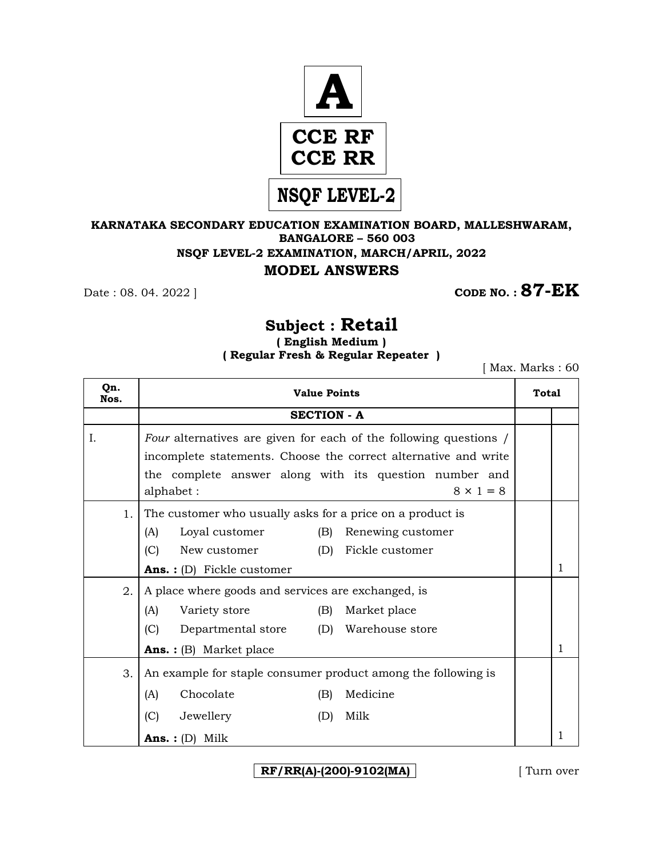

### **KARNATAKA SECONDARY EDUCATION EXAMINATION BOARD, MALLESHWARAM, BANGALORE – 560 003 NSQF LEVEL-2 EXAMINATION, MARCH/APRIL, 2022 MODEL ANSWERS**

**Date : 08. 04. 2022 ] CODE NO. : 87-EK** 

# **Subject : Retail**

**( English Medium ) ( Regular Fresh & Regular Repeater )**

[ Max. Marks : 60

| Qn.<br>Nos. | <b>Value Points</b>                                                                                                                                                                                                             |  |   |  |  |  |
|-------------|---------------------------------------------------------------------------------------------------------------------------------------------------------------------------------------------------------------------------------|--|---|--|--|--|
|             | <b>SECTION - A</b>                                                                                                                                                                                                              |  |   |  |  |  |
| Ι.          | Four alternatives are given for each of the following questions /<br>incomplete statements. Choose the correct alternative and write<br>the complete answer along with its question number and<br>alphabet:<br>$8 \times 1 = 8$ |  |   |  |  |  |
| 1.          | The customer who usually asks for a price on a product is<br>Loyal customer<br>(B)<br>(A)<br>Renewing customer<br>(C)<br>(D)<br>Fickle customer<br>New customer<br><b>Ans.</b> : $(D)$ Fickle customer                          |  |   |  |  |  |
| 2.          | A place where goods and services are exchanged, is                                                                                                                                                                              |  |   |  |  |  |
|             | (A)<br>Variety store<br>(B)<br>Market place                                                                                                                                                                                     |  |   |  |  |  |
|             | Departmental store (D) Warehouse store<br>(C)                                                                                                                                                                                   |  |   |  |  |  |
|             | <b>Ans.</b> : (B) Market place                                                                                                                                                                                                  |  |   |  |  |  |
| 3.          | An example for staple consumer product among the following is                                                                                                                                                                   |  |   |  |  |  |
|             | Chocolate<br>Medicine<br>(B)<br>(A)                                                                                                                                                                                             |  |   |  |  |  |
|             | (C)<br>Jewellery<br>Milk<br>(D)                                                                                                                                                                                                 |  |   |  |  |  |
|             | <b>Ans.</b> : $(D)$ Milk                                                                                                                                                                                                        |  | 1 |  |  |  |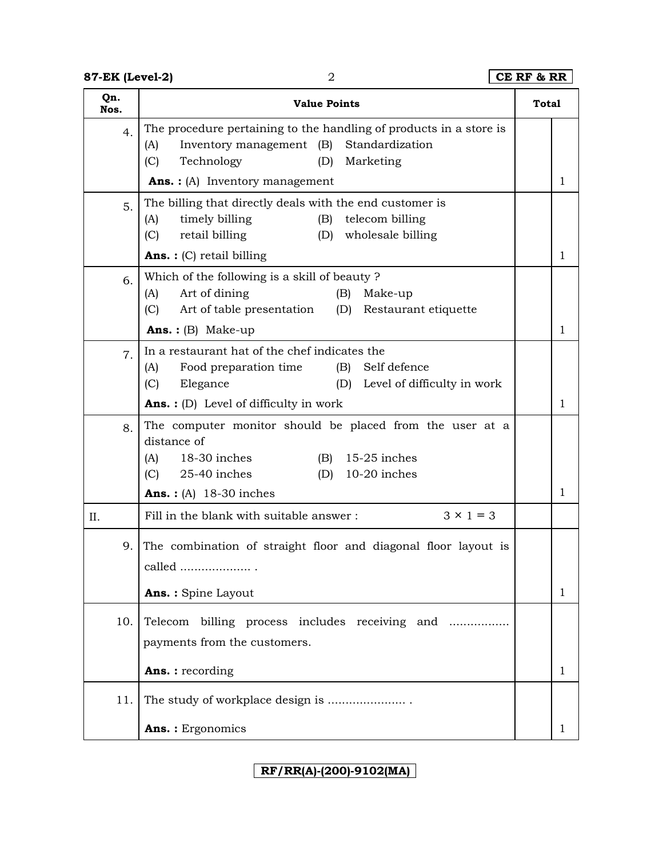## **87-EK (Level-2)** 2 **CE RF & RR**

| Qn.<br>Nos. | <b>Value Points</b>                                                                                                                                                                                                                                   | <b>Total</b> |   |
|-------------|-------------------------------------------------------------------------------------------------------------------------------------------------------------------------------------------------------------------------------------------------------|--------------|---|
| 4.          | The procedure pertaining to the handling of products in a store is<br>Inventory management (B)<br>Standardization<br>(A)<br>Technology<br>(D)<br>Marketing<br>(C)                                                                                     |              |   |
|             | <b>Ans.:</b> (A) Inventory management                                                                                                                                                                                                                 |              | 1 |
| 5.          | The billing that directly deals with the end customer is<br>timely billing<br>telecom billing<br>(A)<br>(B)<br>(C)<br>retail billing<br>(D)<br>wholesale billing<br><b>Ans.</b> : $(C)$ retail billing                                                |              | 1 |
| 6.          | Which of the following is a skill of beauty?<br>Art of dining<br>(A)<br>(B)<br>Make-up<br>(C)<br>Art of table presentation<br>(D)<br>Restaurant etiquette<br><b>Ans.:</b> (B) Make-up                                                                 |              | 1 |
| 7.          | In a restaurant hat of the chef indicates the<br>Food preparation time<br>(B) Self defence<br>(A)<br>Elegance<br>(D) Level of difficulty in work<br>(C)                                                                                               |              | 1 |
| 8.          | <b>Ans.</b> : (D) Level of difficulty in work<br>The computer monitor should be placed from the user at a<br>distance of<br>18-30 inches<br>$(B)$ 15-25 inches<br>(A)<br>(C)<br>25-40 inches<br>$(D)$ 10-20 inches<br><b>Ans.:</b> (A) $18-30$ inches |              | 1 |
| II.         | Fill in the blank with suitable answer:<br>$3 \times 1 = 3$                                                                                                                                                                                           |              |   |
| 9.          | The combination of straight floor and diagonal floor layout is<br>called<br>Ans.: Spine Layout                                                                                                                                                        |              | 1 |
| 10.         | billing process includes receiving and<br>Telecom<br>payments from the customers.<br><b>Ans.:</b> recording                                                                                                                                           |              | 1 |
| 11.         |                                                                                                                                                                                                                                                       |              |   |
|             | Ans.: Ergonomics                                                                                                                                                                                                                                      |              | 1 |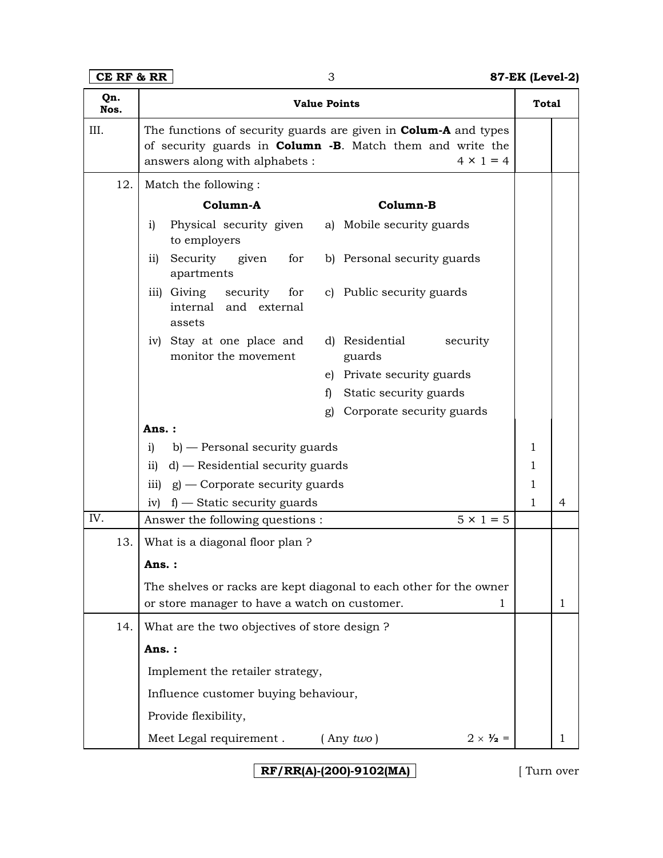| Qn.<br>Nos. | <b>Value Points</b>                                                                                                                                                                               | <b>Total</b> |   |  |  |
|-------------|---------------------------------------------------------------------------------------------------------------------------------------------------------------------------------------------------|--------------|---|--|--|
| III.        | The functions of security guards are given in <b>Colum-A</b> and types<br>of security guards in <b>Column -B</b> . Match them and write the<br>$4 \times 1 = 4$<br>answers along with alphabets : |              |   |  |  |
| 12.         | Match the following:                                                                                                                                                                              |              |   |  |  |
|             | Column-A<br>Column-B                                                                                                                                                                              |              |   |  |  |
|             | Physical security given a) Mobile security guards<br>i)<br>to employers                                                                                                                           |              |   |  |  |
|             | Security given<br>$\mathbf{ii}$<br>for<br>b) Personal security guards<br>apartments                                                                                                               |              |   |  |  |
|             | iii) Giving security<br>c) Public security guards<br>for<br>internal and external<br>assets                                                                                                       |              |   |  |  |
|             | iv) Stay at one place and<br>d) Residential<br>security<br>monitor the movement<br>guards                                                                                                         |              |   |  |  |
|             | e) Private security guards                                                                                                                                                                        |              |   |  |  |
|             | Static security guards<br>f)                                                                                                                                                                      |              |   |  |  |
|             | Corporate security guards<br>g)                                                                                                                                                                   |              |   |  |  |
|             | Ans.:                                                                                                                                                                                             | 1            |   |  |  |
|             | b) — Personal security guards<br>i)<br>d) — Residential security guards<br>ii)                                                                                                                    |              |   |  |  |
|             | iii) $g$ – Corporate security guards                                                                                                                                                              |              |   |  |  |
|             | $f$ – Static security guards<br>iv)                                                                                                                                                               |              |   |  |  |
| IV.         | Answer the following questions :<br>$5 \times 1 = 5$                                                                                                                                              |              |   |  |  |
| 13.         | What is a diagonal floor plan?                                                                                                                                                                    |              |   |  |  |
|             | Ans.:                                                                                                                                                                                             |              |   |  |  |
|             | The shelves or racks are kept diagonal to each other for the owner<br>or store manager to have a watch on customer.<br>1                                                                          |              |   |  |  |
| 14.         | What are the two objectives of store design?                                                                                                                                                      |              |   |  |  |
|             | Ans.:                                                                                                                                                                                             |              |   |  |  |
|             | Implement the retailer strategy,                                                                                                                                                                  |              |   |  |  |
|             | Influence customer buying behaviour,                                                                                                                                                              |              |   |  |  |
|             |                                                                                                                                                                                                   |              |   |  |  |
|             | Provide flexibility,                                                                                                                                                                              |              |   |  |  |
|             | Meet Legal requirement.<br>$2 \times \frac{1}{2}$ =<br>$($ Any two)                                                                                                                               |              | 1 |  |  |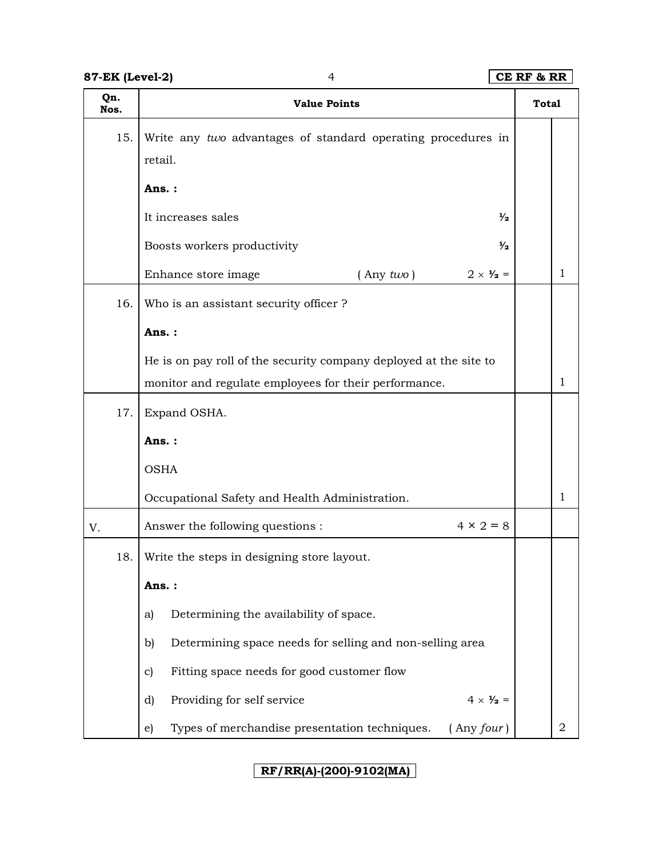| Qn.<br>Nos. | <b>Value Points</b>                                                    | <b>Total</b> |                |  |  |  |
|-------------|------------------------------------------------------------------------|--------------|----------------|--|--|--|
| 15.         | Write any two advantages of standard operating procedures in           |              |                |  |  |  |
|             | retail.                                                                |              |                |  |  |  |
|             | Ans.:                                                                  |              |                |  |  |  |
|             | It increases sales<br>$\frac{1}{2}$                                    |              |                |  |  |  |
|             | Boosts workers productivity<br>$\frac{1}{2}$                           |              |                |  |  |  |
|             | Enhance store image<br>$($ Any $two)$<br>$2 \times \frac{1}{2}$ =      |              | $\mathbf{1}$   |  |  |  |
| 16.         | Who is an assistant security officer?                                  |              |                |  |  |  |
|             | Ans.:                                                                  |              |                |  |  |  |
|             | He is on pay roll of the security company deployed at the site to      |              |                |  |  |  |
|             | monitor and regulate employees for their performance.                  |              |                |  |  |  |
| 17.         | Expand OSHA.                                                           |              |                |  |  |  |
|             | Ans.:                                                                  |              |                |  |  |  |
|             | <b>OSHA</b>                                                            |              |                |  |  |  |
|             | Occupational Safety and Health Administration.                         |              |                |  |  |  |
| V.          | $4 \times 2 = 8$<br>Answer the following questions :                   |              |                |  |  |  |
| 18.         | Write the steps in designing store layout.                             |              |                |  |  |  |
|             | Ans.:                                                                  |              |                |  |  |  |
|             | Determining the availability of space.<br>a)                           |              |                |  |  |  |
|             | Determining space needs for selling and non-selling area<br>b)         |              |                |  |  |  |
|             | Fitting space needs for good customer flow<br>c)                       |              |                |  |  |  |
|             | Providing for self service<br>$4 \times \frac{1}{2}$ =<br>d)           |              |                |  |  |  |
|             | Types of merchandise presentation techniques.<br>$($ Any $four)$<br>e) |              | $\overline{2}$ |  |  |  |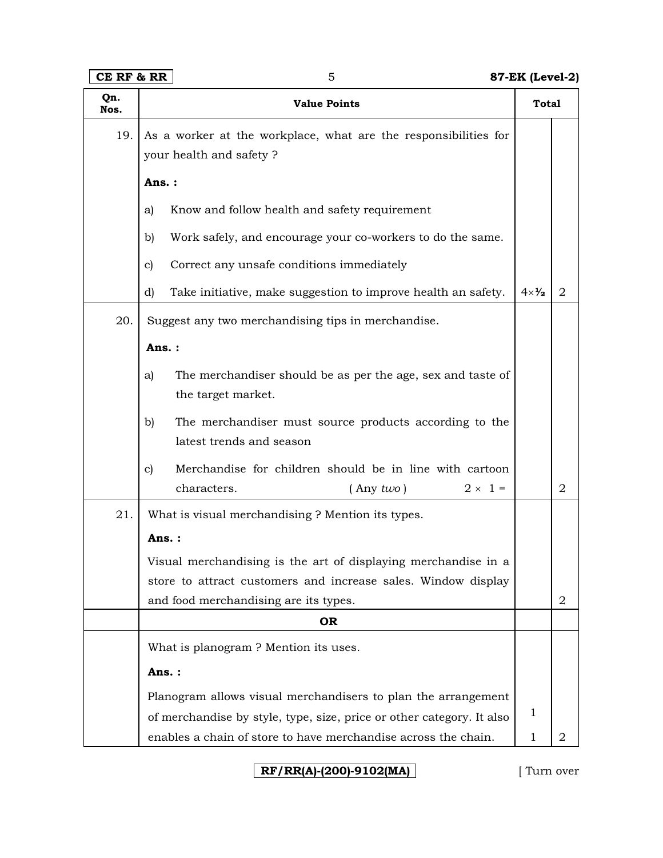| Qn.<br>Nos. | <b>Value Points</b>                                                   | <b>Total</b>   |                |  |  |  |
|-------------|-----------------------------------------------------------------------|----------------|----------------|--|--|--|
| 19.         | As a worker at the workplace, what are the responsibilities for       |                |                |  |  |  |
|             | your health and safety ?                                              |                |                |  |  |  |
|             | Ans.:                                                                 |                |                |  |  |  |
|             | Know and follow health and safety requirement<br>a)                   |                |                |  |  |  |
|             | Work safely, and encourage your co-workers to do the same.<br>b)      |                |                |  |  |  |
|             | Correct any unsafe conditions immediately<br>c)                       |                |                |  |  |  |
|             | Take initiative, make suggestion to improve health an safety.<br>d)   | $4 \times 1/2$ | $\overline{2}$ |  |  |  |
| 20.         | Suggest any two merchandising tips in merchandise.                    |                |                |  |  |  |
|             | Ans.:                                                                 |                |                |  |  |  |
|             | The merchandiser should be as per the age, sex and taste of<br>a)     |                |                |  |  |  |
|             | the target market.                                                    |                |                |  |  |  |
|             | b)<br>The merchandiser must source products according to the          |                |                |  |  |  |
|             | latest trends and season                                              |                |                |  |  |  |
|             | Merchandise for children should be in line with cartoon<br>c)         |                |                |  |  |  |
|             | characters.<br>$2 \times 1 =$<br>$($ Any two)                         |                | $\overline{2}$ |  |  |  |
| 21.         | What is visual merchandising ? Mention its types.                     |                |                |  |  |  |
|             | Ans.:                                                                 |                |                |  |  |  |
|             | Visual merchandising is the art of displaying merchandise in a        |                |                |  |  |  |
|             | store to attract customers and increase sales. Window display         |                |                |  |  |  |
|             | and food merchandising are its types.                                 |                | $\overline{2}$ |  |  |  |
|             | <b>OR</b>                                                             |                |                |  |  |  |
|             | What is planogram? Mention its uses.                                  |                |                |  |  |  |
|             | Ans.:                                                                 |                |                |  |  |  |
|             | Planogram allows visual merchandisers to plan the arrangement         |                |                |  |  |  |
|             | of merchandise by style, type, size, price or other category. It also | $\mathbf{1}$   |                |  |  |  |
|             | enables a chain of store to have merchandise across the chain.        | $\mathbf{1}$   | 2              |  |  |  |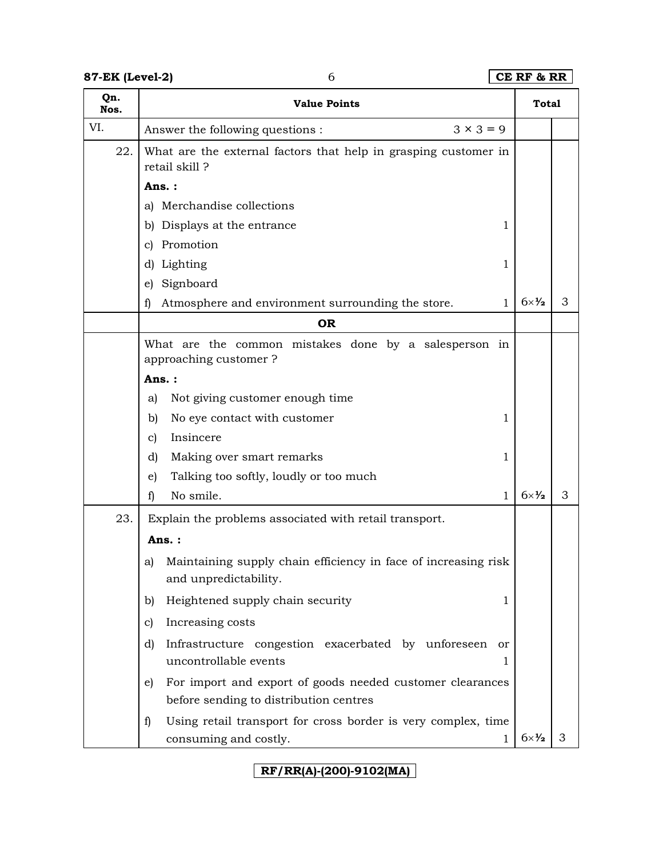## **87-EK (Level-2)** 6 **CE RF & RR**

| Qn.<br>Nos. | <b>Value Points</b>                                                                                       |                        |   |
|-------------|-----------------------------------------------------------------------------------------------------------|------------------------|---|
| VI.         | Answer the following questions :<br>$3 \times 3 = 9$                                                      |                        |   |
| 22.         | What are the external factors that help in grasping customer in<br>retail skill?                          |                        |   |
|             | Ans.:                                                                                                     |                        |   |
|             | Merchandise collections<br>a)                                                                             |                        |   |
|             | Displays at the entrance<br>b)<br>1                                                                       |                        |   |
|             | Promotion<br>C)                                                                                           |                        |   |
|             | Lighting<br>1<br>d)                                                                                       |                        |   |
|             | Signboard<br>e)                                                                                           |                        |   |
|             | Atmosphere and environment surrounding the store.<br>f)<br>1                                              | $6 \times \frac{1}{2}$ | 3 |
|             | <b>OR</b>                                                                                                 |                        |   |
|             | What are the common mistakes done by a salesperson in                                                     |                        |   |
|             | approaching customer?                                                                                     |                        |   |
|             | Ans.:                                                                                                     |                        |   |
|             | Not giving customer enough time<br>a)                                                                     |                        |   |
|             | No eye contact with customer<br>b)<br>1                                                                   |                        |   |
|             | Insincere<br>c)                                                                                           |                        |   |
|             | Making over smart remarks<br>d)<br>1                                                                      |                        |   |
|             | Talking too softly, loudly or too much<br>e)                                                              |                        |   |
|             | No smile.<br>f)<br>1                                                                                      | $6 \times \frac{1}{2}$ | 3 |
| 23.         | Explain the problems associated with retail transport.                                                    |                        |   |
|             | Ans.:                                                                                                     |                        |   |
|             | Maintaining supply chain efficiency in face of increasing risk<br>a)<br>and unpredictability.             |                        |   |
|             | Heightened supply chain security<br>b)<br>1                                                               |                        |   |
|             | Increasing costs<br>c)                                                                                    |                        |   |
|             | Infrastructure congestion exacerbated by unforeseen<br>d)<br>or<br>uncontrollable events<br>1.            |                        |   |
|             | For import and export of goods needed customer clearances<br>e)<br>before sending to distribution centres |                        |   |
|             | Using retail transport for cross border is very complex, time<br>f)<br>consuming and costly.<br>1         | $6 \times \frac{1}{2}$ | 3 |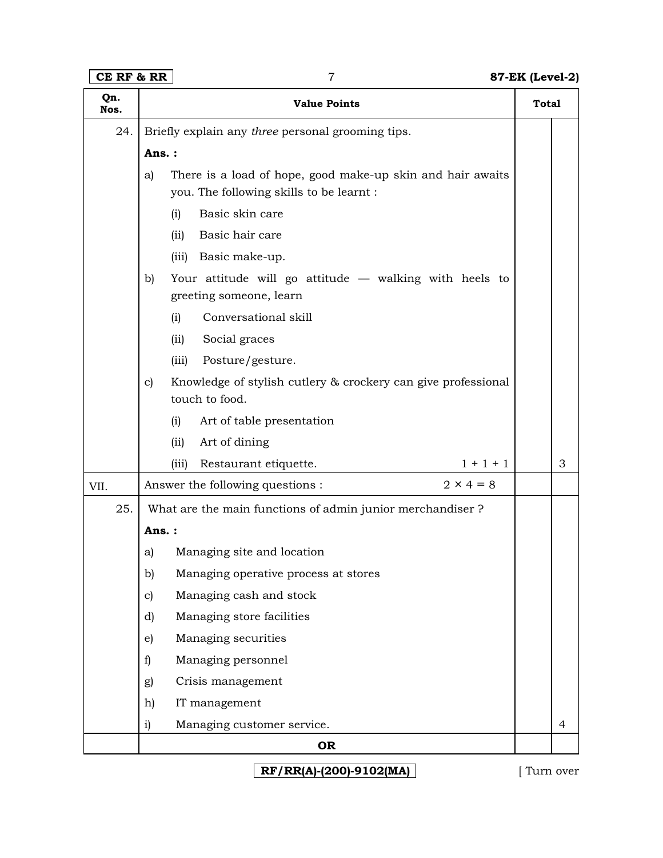# **CE RF & RR** 7 **87-EK (Level-2)**

| Qn.<br>Nos. |              | <b>Value Points</b>                                                                                    | <b>Total</b> |                |  |  |
|-------------|--------------|--------------------------------------------------------------------------------------------------------|--------------|----------------|--|--|
| 24.         |              | Briefly explain any three personal grooming tips.                                                      |              |                |  |  |
|             |              | Ans.:                                                                                                  |              |                |  |  |
|             | a)           | There is a load of hope, good make-up skin and hair awaits<br>you. The following skills to be learnt : |              |                |  |  |
|             |              | Basic skin care<br>(i)                                                                                 |              |                |  |  |
|             |              | Basic hair care<br>(iii)                                                                               |              |                |  |  |
|             |              | (iii) Basic make-up.                                                                                   |              |                |  |  |
|             | b)           | Your attitude will go attitude - walking with heels to<br>greeting someone, learn                      |              |                |  |  |
|             |              | Conversational skill<br>(i)                                                                            |              |                |  |  |
|             |              | Social graces<br>(iii)                                                                                 |              |                |  |  |
|             |              | Posture/gesture.<br>(iii)                                                                              |              |                |  |  |
|             | $\mathbf{c}$ | Knowledge of stylish cutlery & crockery can give professional<br>touch to food.                        |              |                |  |  |
|             |              | (i)<br>Art of table presentation                                                                       |              |                |  |  |
|             |              | Art of dining<br>(iii)                                                                                 |              |                |  |  |
|             |              | $1 + 1 + 1$<br>Restaurant etiquette.<br>(iii)                                                          |              | 3              |  |  |
| VII.        |              | $2 \times 4 = 8$<br>Answer the following questions :                                                   |              |                |  |  |
| 25.         |              | What are the main functions of admin junior merchandiser?                                              |              |                |  |  |
|             | Ans.:        |                                                                                                        |              |                |  |  |
|             | a)           | Managing site and location                                                                             |              |                |  |  |
|             | b)           | Managing operative process at stores                                                                   |              |                |  |  |
|             | c)           | Managing cash and stock                                                                                |              |                |  |  |
|             | d)           | Managing store facilities                                                                              |              |                |  |  |
|             | e)           | Managing securities                                                                                    |              |                |  |  |
|             | f)           | Managing personnel                                                                                     |              |                |  |  |
|             | g)           | Crisis management                                                                                      |              |                |  |  |
|             | h)           | IT management                                                                                          |              |                |  |  |
|             | i)           | Managing customer service.                                                                             |              | $\overline{4}$ |  |  |
|             |              | <b>OR</b>                                                                                              |              |                |  |  |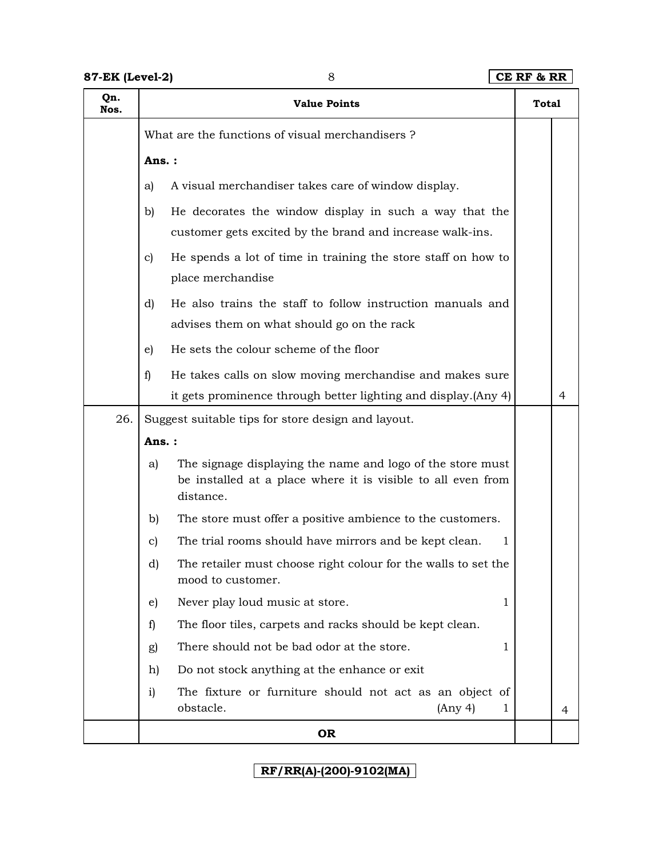| Qn.<br>Nos. |                                                    | <b>Value Points</b>                                                                                                                     | <b>Total</b> |   |
|-------------|----------------------------------------------------|-----------------------------------------------------------------------------------------------------------------------------------------|--------------|---|
|             |                                                    | What are the functions of visual merchandisers?                                                                                         |              |   |
|             | Ans.:                                              |                                                                                                                                         |              |   |
|             | a)                                                 | A visual merchandiser takes care of window display.                                                                                     |              |   |
|             | b)                                                 | He decorates the window display in such a way that the                                                                                  |              |   |
|             |                                                    | customer gets excited by the brand and increase walk-ins.                                                                               |              |   |
|             | $\mathbf{c}$                                       | He spends a lot of time in training the store staff on how to                                                                           |              |   |
|             |                                                    | place merchandise                                                                                                                       |              |   |
|             | d)                                                 | He also trains the staff to follow instruction manuals and                                                                              |              |   |
|             |                                                    | advises them on what should go on the rack                                                                                              |              |   |
|             | e)                                                 | He sets the colour scheme of the floor                                                                                                  |              |   |
|             | f)                                                 | He takes calls on slow moving merchandise and makes sure                                                                                |              |   |
|             |                                                    | it gets prominence through better lighting and display. (Any 4)                                                                         |              | 4 |
| 26.         | Suggest suitable tips for store design and layout. |                                                                                                                                         |              |   |
|             | Ans.:                                              |                                                                                                                                         |              |   |
|             | a)                                                 | The signage displaying the name and logo of the store must<br>be installed at a place where it is visible to all even from<br>distance. |              |   |
|             | b)                                                 | The store must offer a positive ambience to the customers.                                                                              |              |   |
|             | c)                                                 | The trial rooms should have mirrors and be kept clean.<br>1                                                                             |              |   |
|             | d)                                                 | The retailer must choose right colour for the walls to set the<br>mood to customer.                                                     |              |   |
|             | e)                                                 | Never play loud music at store.<br>1                                                                                                    |              |   |
|             | f)                                                 | The floor tiles, carpets and racks should be kept clean.                                                                                |              |   |
|             | g)                                                 | There should not be bad odor at the store.<br>1                                                                                         |              |   |
|             | h)                                                 | Do not stock anything at the enhance or exit                                                                                            |              |   |
|             | i)                                                 | The fixture or furniture should not act as an object of<br>obstacle.<br>(Any 4)<br>1                                                    |              | 4 |
|             |                                                    | <b>OR</b>                                                                                                                               |              |   |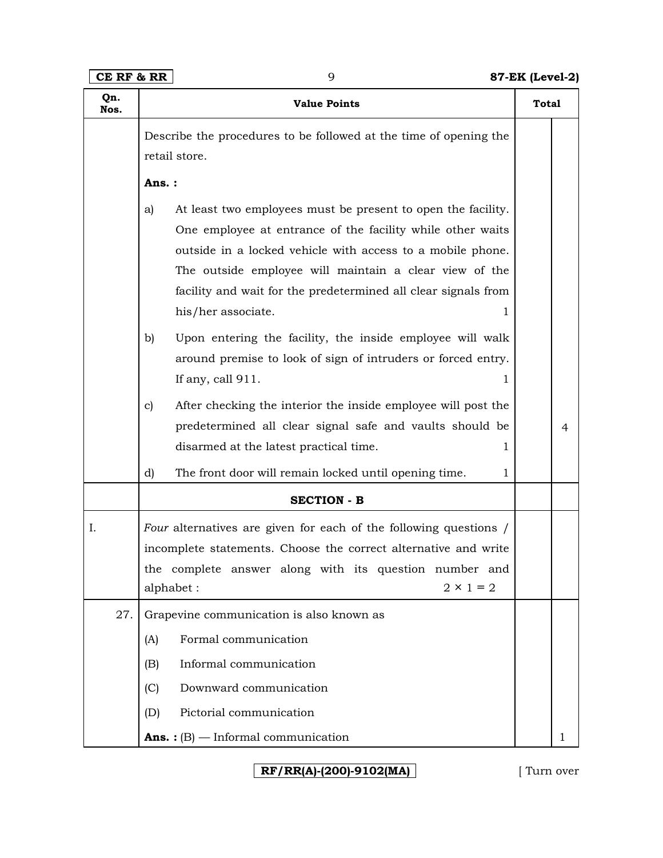| Qn.<br>Nos. | <b>Value Points</b>                                                                                                                                                                                                                                                                                                                                   | <b>Total</b> |   |
|-------------|-------------------------------------------------------------------------------------------------------------------------------------------------------------------------------------------------------------------------------------------------------------------------------------------------------------------------------------------------------|--------------|---|
|             | Describe the procedures to be followed at the time of opening the                                                                                                                                                                                                                                                                                     |              |   |
|             | retail store.                                                                                                                                                                                                                                                                                                                                         |              |   |
|             | Ans.:                                                                                                                                                                                                                                                                                                                                                 |              |   |
|             | At least two employees must be present to open the facility.<br>a)<br>One employee at entrance of the facility while other waits<br>outside in a locked vehicle with access to a mobile phone.<br>The outside employee will maintain a clear view of the<br>facility and wait for the predetermined all clear signals from<br>his/her associate.<br>1 |              |   |
|             | Upon entering the facility, the inside employee will walk<br>b)<br>around premise to look of sign of intruders or forced entry.<br>If any, call 911.<br>1                                                                                                                                                                                             |              |   |
|             | After checking the interior the inside employee will post the<br>c)<br>predetermined all clear signal safe and vaults should be<br>disarmed at the latest practical time.<br>1                                                                                                                                                                        |              | 4 |
|             | The front door will remain locked until opening time.<br>d)<br>1                                                                                                                                                                                                                                                                                      |              |   |
|             | <b>SECTION - B</b>                                                                                                                                                                                                                                                                                                                                    |              |   |
| I.          | Four alternatives are given for each of the following questions /<br>incomplete statements. Choose the correct alternative and write<br>the complete answer along with its question number and<br>$2 \times 1 = 2$<br>alphabet:                                                                                                                       |              |   |
| 27.         | Grapevine communication is also known as                                                                                                                                                                                                                                                                                                              |              |   |
|             | Formal communication<br>(A)                                                                                                                                                                                                                                                                                                                           |              |   |
|             | (B)<br>Informal communication                                                                                                                                                                                                                                                                                                                         |              |   |
|             | Downward communication<br>(C)                                                                                                                                                                                                                                                                                                                         |              |   |
|             | Pictorial communication<br>(D)                                                                                                                                                                                                                                                                                                                        |              |   |
|             | <b>Ans.</b> : $(B)$ – Informal communication                                                                                                                                                                                                                                                                                                          |              | 1 |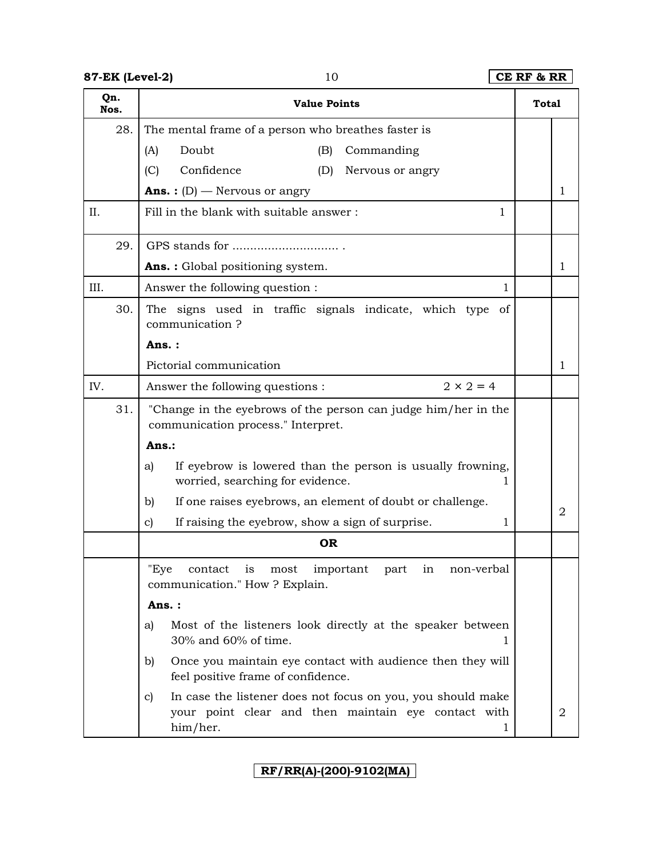# **87-EK (Level-2)** 10 **CE RF & RR**

| Qn.<br>Nos. |     | <b>Value Points</b>                                                                                                                       | <b>Total</b> |                |  |
|-------------|-----|-------------------------------------------------------------------------------------------------------------------------------------------|--------------|----------------|--|
|             | 28. | The mental frame of a person who breathes faster is                                                                                       |              |                |  |
|             |     | (A)<br>Doubt<br>Commanding<br>(B)                                                                                                         |              |                |  |
|             |     | (C)<br>Confidence<br>(D)<br>Nervous or angry                                                                                              |              |                |  |
|             |     | <b>Ans.</b> : $(D)$ – Nervous or angry                                                                                                    |              | 1              |  |
| II.         |     | Fill in the blank with suitable answer:<br>1                                                                                              |              |                |  |
|             | 29. |                                                                                                                                           |              |                |  |
|             |     | <b>Ans.:</b> Global positioning system.                                                                                                   |              | 1              |  |
| III.        |     | Answer the following question :<br>1                                                                                                      |              |                |  |
|             | 30. | The signs used in traffic signals indicate, which type<br>of<br>communication?                                                            |              |                |  |
|             |     | Ans.:                                                                                                                                     |              |                |  |
|             |     | Pictorial communication                                                                                                                   |              | 1              |  |
| IV.         |     | $2 \times 2 = 4$<br>Answer the following questions :                                                                                      |              |                |  |
|             | 31. | "Change in the eyebrows of the person can judge him/her in the<br>communication process." Interpret.                                      |              |                |  |
|             |     | Ans.:                                                                                                                                     |              |                |  |
|             |     | If eyebrow is lowered than the person is usually frowning,<br>a)<br>worried, searching for evidence.                                      |              |                |  |
|             |     | If one raises eyebrows, an element of doubt or challenge.<br>b)                                                                           |              |                |  |
|             |     | If raising the eyebrow, show a sign of surprise.<br>c)<br>1                                                                               |              | $\overline{2}$ |  |
|             |     | <b>OR</b>                                                                                                                                 |              |                |  |
|             |     | "Eye contact is most important part in non-verbal<br>communication." How ? Explain.                                                       |              |                |  |
|             |     | Ans.:                                                                                                                                     |              |                |  |
|             |     | Most of the listeners look directly at the speaker between<br>a)<br>30% and 60% of time.<br>1                                             |              |                |  |
|             |     | Once you maintain eye contact with audience then they will<br>b)<br>feel positive frame of confidence.                                    |              |                |  |
|             |     | In case the listener does not focus on you, you should make<br>c)<br>your point clear and then maintain eye contact with<br>him/her.<br>1 |              | $\overline{2}$ |  |